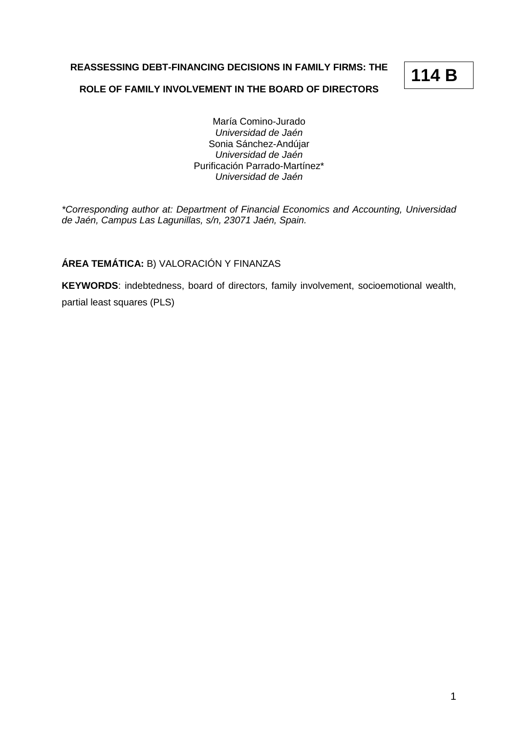**REASSESSING DEBT-FINANCING DECISIONS IN FAMILY FIRMS: THE** 

# **114 B**

### **ROLE OF FAMILY INVOLVEMENT IN THE BOARD OF DIRECTORS**

María Comino-Jurado *Universidad de Jaén* Sonia Sánchez-Andújar *Universidad de Jaén* Purificación Parrado-Martínez\* *Universidad de Jaén*

*\*Corresponding author at: Department of Financial Economics and Accounting, Universidad de Jaén, Campus Las Lagunillas, s/n, 23071 Jaén, Spain.*

## **ÁREA TEMÁTICA:** B) VALORACIÓN Y FINANZAS

**KEYWORDS**: indebtedness, board of directors, family involvement, socioemotional wealth, partial least squares (PLS)